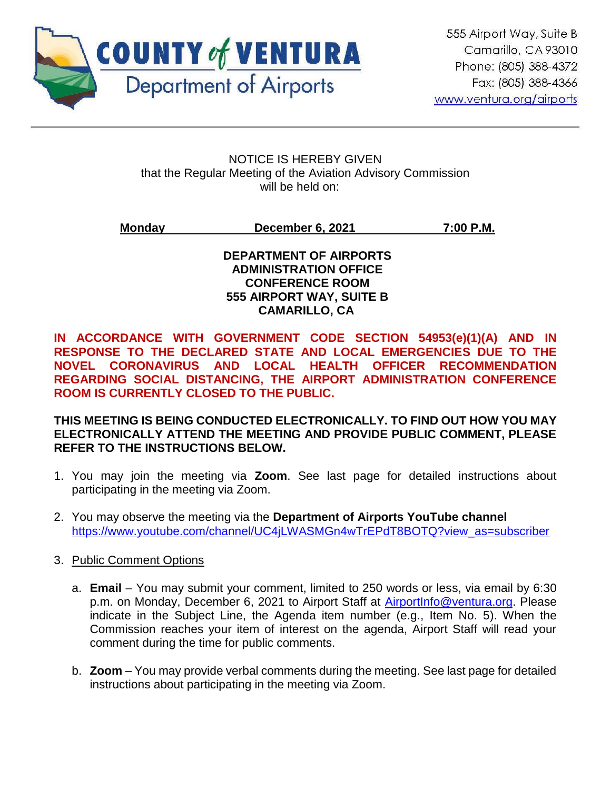

ֺ

#### NOTICE IS HEREBY GIVEN that the Regular Meeting of the Aviation Advisory Commission will be held on:

## **Monday December 6, 2021 7:00 P.M.**

#### **DEPARTMENT OF AIRPORTS ADMINISTRATION OFFICE CONFERENCE ROOM 555 AIRPORT WAY, SUITE B CAMARILLO, CA**

**IN ACCORDANCE WITH GOVERNMENT CODE SECTION 54953(e)(1)(A) AND IN RESPONSE TO THE DECLARED STATE AND LOCAL EMERGENCIES DUE TO THE NOVEL CORONAVIRUS AND LOCAL HEALTH OFFICER RECOMMENDATION REGARDING SOCIAL DISTANCING, THE AIRPORT ADMINISTRATION CONFERENCE ROOM IS CURRENTLY CLOSED TO THE PUBLIC.** 

## **THIS MEETING IS BEING CONDUCTED ELECTRONICALLY. TO FIND OUT HOW YOU MAY ELECTRONICALLY ATTEND THE MEETING AND PROVIDE PUBLIC COMMENT, PLEASE REFER TO THE INSTRUCTIONS BELOW.**

- 1. You may join the meeting via **Zoom**. See last page for detailed instructions about participating in the meeting via Zoom.
- 2. You may observe the meeting via the **Department of Airports YouTube channel** [https://www.youtube.com/channel/UC4jLWASMGn4wTrEPdT8BOTQ?view\\_as=subscriber](https://www.youtube.com/channel/UC4jLWASMGn4wTrEPdT8BOTQ?view_as=subscriber)
- 3. Public Comment Options
	- a. **Email** You may submit your comment, limited to 250 words or less, via email by 6:30 p.m. on Monday, December 6, 2021 to Airport Staff at [AirportInfo@ventura.org.](mailto:AirportInfo@ventura.org) Please indicate in the Subject Line, the Agenda item number (e.g., Item No. 5). When the Commission reaches your item of interest on the agenda, Airport Staff will read your comment during the time for public comments.
	- b. **Zoom** You may provide verbal comments during the meeting. See last page for detailed instructions about participating in the meeting via Zoom.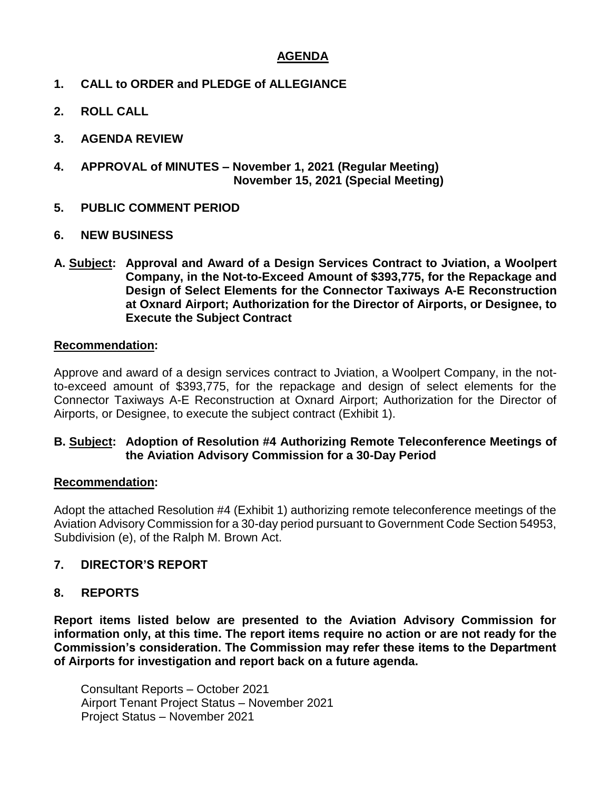## **AGENDA**

- **1. CALL to ORDER and PLEDGE of ALLEGIANCE**
- **2. ROLL CALL**
- **3. AGENDA REVIEW**
- **4. APPROVAL of MINUTES – November 1, 2021 (Regular Meeting) November 15, 2021 (Special Meeting)**
- **5. PUBLIC COMMENT PERIOD**
- **6. NEW BUSINESS**
- **A. Subject: Approval and Award of a Design Services Contract to Jviation, a Woolpert Company, in the Not-to-Exceed Amount of \$393,775, for the Repackage and Design of Select Elements for the Connector Taxiways A-E Reconstruction at Oxnard Airport; Authorization for the Director of Airports, or Designee, to Execute the Subject Contract**

#### **Recommendation:**

Approve and award of a design services contract to Jviation, a Woolpert Company, in the notto-exceed amount of \$393,775, for the repackage and design of select elements for the Connector Taxiways A-E Reconstruction at Oxnard Airport; Authorization for the Director of Airports, or Designee, to execute the subject contract (Exhibit 1).

#### **B. Subject: Adoption of Resolution #4 Authorizing Remote Teleconference Meetings of the Aviation Advisory Commission for a 30-Day Period**

#### **Recommendation:**

Adopt the attached Resolution #4 (Exhibit 1) authorizing remote teleconference meetings of the Aviation Advisory Commission for a 30-day period pursuant to Government Code Section 54953, Subdivision (e), of the Ralph M. Brown Act.

#### **7. DIRECTOR'S REPORT**

#### **8. REPORTS**

**Report items listed below are presented to the Aviation Advisory Commission for information only, at this time. The report items require no action or are not ready for the Commission's consideration. The Commission may refer these items to the Department of Airports for investigation and report back on a future agenda.** 

Consultant Reports – October 2021 Airport Tenant Project Status – November 2021 Project Status – November 2021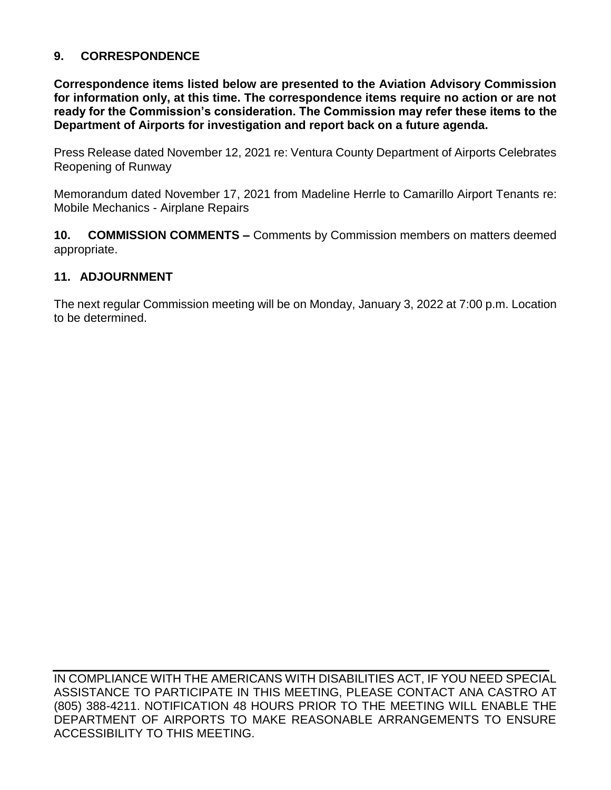## **9. CORRESPONDENCE**

**Correspondence items listed below are presented to the Aviation Advisory Commission for information only, at this time. The correspondence items require no action or are not ready for the Commission's consideration. The Commission may refer these items to the Department of Airports for investigation and report back on a future agenda.** 

Press Release dated November 12, 2021 re: Ventura County Department of Airports Celebrates Reopening of Runway

Memorandum dated November 17, 2021 from Madeline Herrle to Camarillo Airport Tenants re: Mobile Mechanics - Airplane Repairs

**10. COMMISSION COMMENTS –** Comments by Commission members on matters deemed appropriate.

#### **11. ADJOURNMENT**

The next regular Commission meeting will be on Monday, January 3, 2022 at 7:00 p.m. Location to be determined.

IN COMPLIANCE WITH THE AMERICANS WITH DISABILITIES ACT, IF YOU NEED SPECIAL ASSISTANCE TO PARTICIPATE IN THIS MEETING, PLEASE CONTACT ANA CASTRO AT (805) 388-4211. NOTIFICATION 48 HOURS PRIOR TO THE MEETING WILL ENABLE THE DEPARTMENT OF AIRPORTS TO MAKE REASONABLE ARRANGEMENTS TO ENSURE ACCESSIBILITY TO THIS MEETING.